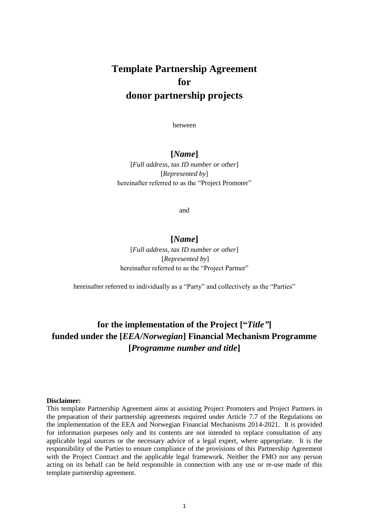# **Template Partnership Agreement for donor partnership projects**

between

#### **[***Name***]**

[*Full address, tax ID number or other*] [*Represented by*] hereinafter referred to as the "Project Promoter"

and

## **[***Name***]**

[*Full address, tax ID number or other*] [*Represented by*] hereinafter referred to as the "Project Partner"

hereinafter referred to individually as a "Party" and collectively as the "Parties"

## **for the implementation of the Project ["***Title"***] funded under the [***EEA/Norwegian***] Financial Mechanism Programme [***Programme number and title***]**

#### **Disclaimer:**

This template Partnership Agreement aims at assisting Project Promoters and Project Partners in the preparation of their partnership agreements required under Article 7.7 of the Regulations on the implementation of the EEA and Norwegian Financial Mechanisms 2014-2021. It is provided for information purposes only and its contents are not intended to replace consultation of any applicable legal sources or the necessary advice of a legal expert, where appropriate. It is the responsibility of the Parties to ensure compliance of the provisions of this Partnership Agreement with the Project Contract and the applicable legal framework. Neither the FMO nor any person acting on its behalf can be held responsible in connection with any use or re-use made of this template partnership agreement.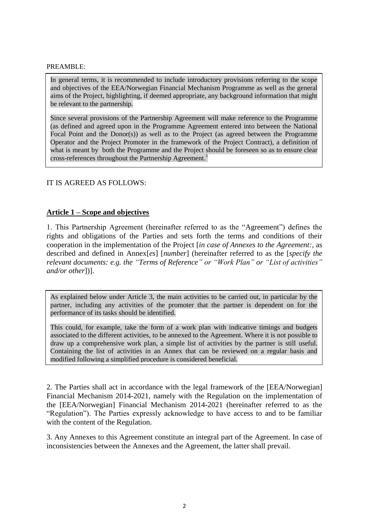#### PREAMBLE:

In general terms, it is recommended to include introductory provisions referring to the scope and objectives of the EEA/Norwegian Financial Mechanism Programme as well as the general aims of the Project, highlighting, if deemed appropriate, any background information that might be relevant to the partnership.

Since several provisions of the Partnership Agreement will make reference to the Programme (as defined and agreed upon in the Programme Agreement entered into between the National Focal Point and the Donor(s)) as well as to the Project (as agreed between the Programme Operator and the Project Promoter in the framework of the Project Contract), a definition of what is meant by both the Programme and the Project should be foreseen so as to ensure clear cross-references throughout the Partnership Agreement.<sup>1</sup>

#### IT IS AGREED AS FOLLOWS:

## **Article 1 – Scope and objectives**

1. This Partnership Agreement (hereinafter referred to as the "Agreement") defines the rights and obligations of the Parties and sets forth the terms and conditions of their cooperation in the implementation of the Project [*in case of Annexes to the Agreement:*, as described and defined in Annex[*es*] [*number*] (hereinafter referred to as the [*specify the relevant documents: e.g. the "Terms of Reference" or "Work Plan" or "List of activities" and/or other*])].

As explained below under Article 3, the main activities to be carried out, in particular by the partner, including any activities of the promoter that the partner is dependent on for the performance of its tasks should be identified.

This could, for example, take the form of a work plan with indicative timings and budgets associated to the different activities, to be annexed to the Agreement. Where it is not possible to draw up a comprehensive work plan, a simple list of activities by the partner is still useful. Containing the list of activities in an Annex that can be reviewed on a regular basis and modified following a simplified procedure is considered beneficial.

2. The Parties shall act in accordance with the legal framework of the [EEA/Norwegian] Financial Mechanism 2014-2021, namely with the Regulation on the implementation of the [EEA/Norwegian] Financial Mechanism 2014-2021 (hereinafter referred to as the "Regulation"). The Parties expressly acknowledge to have access to and to be familiar with the content of the Regulation.

3. Any Annexes to this Agreement constitute an integral part of the Agreement. In case of inconsistencies between the Annexes and the Agreement, the latter shall prevail.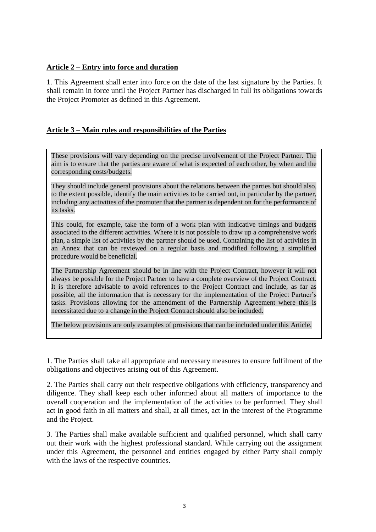### **Article 2 – Entry into force and duration**

1. This Agreement shall enter into force on the date of the last signature by the Parties. It shall remain in force until the Project Partner has discharged in full its obligations towards the Project Promoter as defined in this Agreement.

## **Article 3 – Main roles and responsibilities of the Parties**

These provisions will vary depending on the precise involvement of the Project Partner. The aim is to ensure that the parties are aware of what is expected of each other, by when and the corresponding costs/budgets.

They should include general provisions about the relations between the parties but should also, to the extent possible, identify the main activities to be carried out, in particular by the partner, including any activities of the promoter that the partner is dependent on for the performance of its tasks.

This could, for example, take the form of a work plan with indicative timings and budgets associated to the different activities. Where it is not possible to draw up a comprehensive work plan, a simple list of activities by the partner should be used. Containing the list of activities in an Annex that can be reviewed on a regular basis and modified following a simplified procedure would be beneficial.

The Partnership Agreement should be in line with the Project Contract, however it will not always be possible for the Project Partner to have a complete overview of the Project Contract. It is therefore advisable to avoid references to the Project Contract and include, as far as possible, all the information that is necessary for the implementation of the Project Partner's tasks. Provisions allowing for the amendment of the Partnership Agreement where this is necessitated due to a change in the Project Contract should also be included.

The below provisions are only examples of provisions that can be included under this Article.

1. The Parties shall take all appropriate and necessary measures to ensure fulfilment of the obligations and objectives arising out of this Agreement.

2. The Parties shall carry out their respective obligations with efficiency, transparency and diligence. They shall keep each other informed about all matters of importance to the overall cooperation and the implementation of the activities to be performed. They shall act in good faith in all matters and shall, at all times, act in the interest of the Programme and the Project.

3. The Parties shall make available sufficient and qualified personnel, which shall carry out their work with the highest professional standard. While carrying out the assignment under this Agreement, the personnel and entities engaged by either Party shall comply with the laws of the respective countries.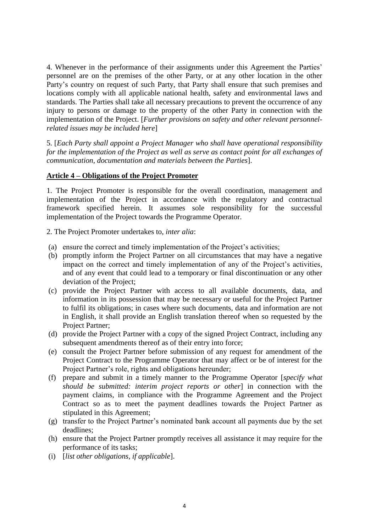4. Whenever in the performance of their assignments under this Agreement the Parties' personnel are on the premises of the other Party, or at any other location in the other Party's country on request of such Party, that Party shall ensure that such premises and locations comply with all applicable national health, safety and environmental laws and standards. The Parties shall take all necessary precautions to prevent the occurrence of any injury to persons or damage to the property of the other Party in connection with the implementation of the Project. [*Further provisions on safety and other relevant personnelrelated issues may be included here*]

5. [*Each Party shall appoint a Project Manager who shall have operational responsibility for the implementation of the Project as well as serve as contact point for all exchanges of communication, documentation and materials between the Parties*].

#### **Article 4 – Obligations of the Project Promoter**

1. The Project Promoter is responsible for the overall coordination, management and implementation of the Project in accordance with the regulatory and contractual framework specified herein. It assumes sole responsibility for the successful implementation of the Project towards the Programme Operator.

2. The Project Promoter undertakes to, *inter alia*:

- (a) ensure the correct and timely implementation of the Project's activities;
- (b) promptly inform the Project Partner on all circumstances that may have a negative impact on the correct and timely implementation of any of the Project's activities, and of any event that could lead to a temporary or final discontinuation or any other deviation of the Project;
- (c) provide the Project Partner with access to all available documents, data, and information in its possession that may be necessary or useful for the Project Partner to fulfil its obligations; in cases where such documents, data and information are not in English, it shall provide an English translation thereof when so requested by the Project Partner;
- (d) provide the Project Partner with a copy of the signed Project Contract, including any subsequent amendments thereof as of their entry into force;
- (e) consult the Project Partner before submission of any request for amendment of the Project Contract to the Programme Operator that may affect or be of interest for the Project Partner's role, rights and obligations hereunder;
- (f) prepare and submit in a timely manner to the Programme Operator [*specify what should be submitted: interim project reports or other*] in connection with the payment claims, in compliance with the Programme Agreement and the Project Contract so as to meet the payment deadlines towards the Project Partner as stipulated in this Agreement;
- (g) transfer to the Project Partner's nominated bank account all payments due by the set deadlines;
- (h) ensure that the Project Partner promptly receives all assistance it may require for the performance of its tasks;
- (i) [*list other obligations, if applicable*].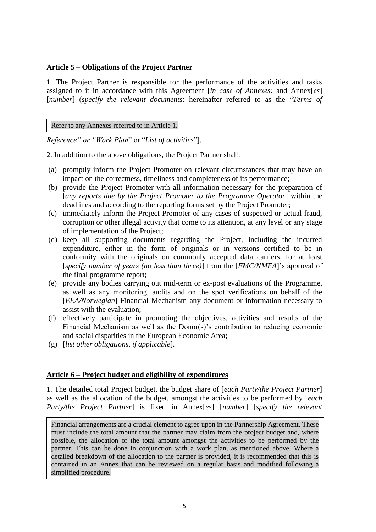#### **Article 5 – Obligations of the Project Partner**

1. The Project Partner is responsible for the performance of the activities and tasks assigned to it in accordance with this Agreement [*in case of Annexes:* and Annex[*es*] [*number*] (*specify the relevant documents*: hereinafter referred to as the "*Terms of* 

Refer to any Annexes referred to in Article 1.

*Reference" or "Work Plan*" or "*List of activities*"].

2. In addition to the above obligations, the Project Partner shall:

- (a) promptly inform the Project Promoter on relevant circumstances that may have an impact on the correctness, timeliness and completeness of its performance;
- (b) provide the Project Promoter with all information necessary for the preparation of [*any reports due by the Project Promoter to the Programme Operator*] within the deadlines and according to the reporting forms set by the Project Promoter;
- (c) immediately inform the Project Promoter of any cases of suspected or actual fraud, corruption or other illegal activity that come to its attention, at any level or any stage of implementation of the Project;
- (d) keep all supporting documents regarding the Project, including the incurred expenditure, either in the form of originals or in versions certified to be in conformity with the originals on commonly accepted data carriers, for at least [*specify number of years (no less than three)*] from the [*FMC/NMFA*]'s approval of the final programme report;
- (e) provide any bodies carrying out mid-term or ex-post evaluations of the Programme, as well as any monitoring, audits and on the spot verifications on behalf of the [*EEA/Norwegian*] Financial Mechanism any document or information necessary to assist with the evaluation;
- (f) effectively participate in promoting the objectives, activities and results of the Financial Mechanism as well as the Donor(s)'s contribution to reducing economic and social disparities in the European Economic Area;
- (g) [*list other obligations, if applicable*].

#### **Article 6 – Project budget and eligibility of expenditures**

1. The detailed total Project budget, the budget share of [*each Party/the Project Partner*] as well as the allocation of the budget, amongst the activities to be performed by [*each Party/the Project Partner*] is fixed in Annex[*es*] [*number*] [*specify the relevant* 

Financial arrangements are a crucial element to agree upon in the Partnership Agreement. These must include the total amount that the partner may claim from the project budget and, where possible, the allocation of the total amount amongst the activities to be performed by the partner. This can be done in conjunction with a work plan, as mentioned above. Where a detailed breakdown of the allocation to the partner is provided, it is recommended that this is contained in an Annex that can be reviewed on a regular basis and modified following a simplified procedure.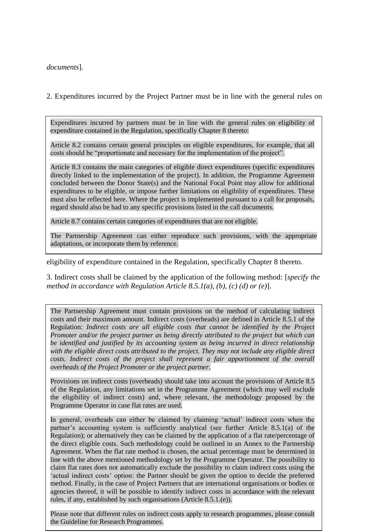*documents*].

2. Expenditures incurred by the Project Partner must be in line with the general rules on

Expenditures incurred by partners must be in line with the general rules on eligibility of expenditure contained in the Regulation, specifically Chapter 8 thereto:

Article 8.2 contains certain general principles on eligible expenditures, for example, that all costs should be "proportionate and necessary for the implementation of the project".

Article 8.3 contains the main categories of eligible direct expenditures (specific expenditures directly linked to the implementation of the project). In addition, the Programme Agreement concluded between the Donor State(s) and the National Focal Point may allow for additional expenditures to be eligible, or impose further limitations on eligibility of expenditures. These must also be reflected here. Where the project is implemented pursuant to a call for proposals, regard should also be had to any specific provisions listed in the call documents.

Article 8.7 contains certain categories of expenditures that are not eligible.

The Partnership Agreement can either reproduce such provisions, with the appropriate adaptations, or incorporate them by reference.

eligibility of expenditure contained in the Regulation, specifically Chapter 8 thereto.

3. Indirect costs shall be claimed by the application of the following method: [*specify the method in accordance with Regulation Article 8.5.1(a), (b), (c) (d) or (e)*].

The Partnership Agreement must contain provisions on the method of calculating indirect costs and their maximum amount. Indirect costs (overheads) are defined in Article 8.5.1 of the Regulation: *Indirect costs are all eligible costs that cannot be identified by the Project Promoter and/or the project partner as being directly attributed to the project but which can be identified and justified by its accounting system as being incurred in direct relationship with the eligible direct costs attributed to the project. They may not include any eligible direct*  costs. Indirect costs of the project shall represent a fair apportionment of the overall *overheads of the Project Promoter or the project partner*.

Provisions on indirect costs (overheads) should take into account the provisions of Article 8.5 of the Regulation, any limitations set in the Programme Agreement (which may well exclude the eligibility of indirect costs) and, where relevant, the methodology proposed by the Programme Operator in case flat rates are used.

In general, overheads can either be claimed by claiming 'actual' indirect costs when the partner's accounting system is sufficiently analytical (see further Article 8.5.1(a) of the Regulation); or alternatively they can be claimed by the application of a flat rate/percentage of the direct eligible costs. Such methodology could be outlined in an Annex to the Partnership Agreement. When the flat rate method is chosen, the actual percentage must be determined in line with the above mentioned methodology set by the Programme Operator. The possibility to claim flat rates does not automatically exclude the possibility to claim indirect costs using the 'actual indirect costs' option: the Partner should be given the option to decide the preferred method. Finally, in the case of Project Partners that are international organisations or bodies or agencies thereof, it will be possible to identify indirect costs in accordance with the relevant rules, if any, established by such organisations (Article 8.5.1.(e)).

Please note that different rules on indirect costs apply to research programmes, please consult the Guideline for Research Programmes.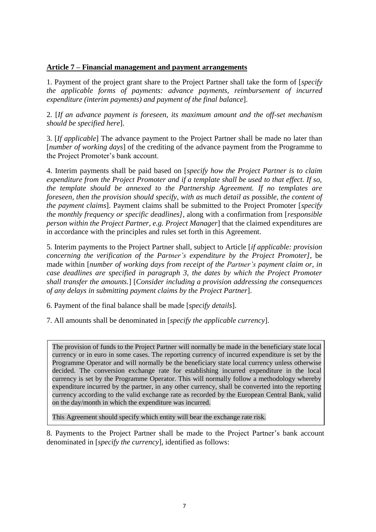### **Article 7 – Financial management and payment arrangements**

1. Payment of the project grant share to the Project Partner shall take the form of [*specify the applicable forms of payments: advance payments, reimbursement of incurred expenditure (interim payments) and payment of the final balance*].

2. [*If an advance payment is foreseen, its maximum amount and the off-set mechanism should be specified here*].

3. [*If applicable*] The advance payment to the Project Partner shall be made no later than [*number of working days*] of the crediting of the advance payment from the Programme to the Project Promoter's bank account.

4. Interim payments shall be paid based on [*specify how the Project Partner is to claim expenditure from the Project Promoter and if a template shall be used to that effect. If so, the template should be annexed to the Partnership Agreement. If no templates are foreseen, then the provision should specify, with as much detail as possible, the content of the payment claims*]. Payment claims shall be submitted to the Project Promoter [*specify the monthly frequency or specific deadlines]*, along with a confirmation from [*responsible person within the Project Partner, e.g. Project Manager*] that the claimed expenditures are in accordance with the principles and rules set forth in this Agreement.

5. Interim payments to the Project Partner shall, subject to Article [*if applicable: provision concerning the verification of the Partner's expenditure by the Project Promoter]*, be made within [*number of working days from receipt of the Partner's payment claim or, in case deadlines are specified in paragraph 3, the dates by which the Project Promoter shall transfer the amounts.*] [*Consider including a provision addressing the consequences of any delays in submitting payment claims by the Project Partner*].

6. Payment of the final balance shall be made [*specify details*].

7. All amounts shall be denominated in [*specify the applicable currency*].

The provision of funds to the Project Partner will normally be made in the beneficiary state local currency or in euro in some cases. The reporting currency of incurred expenditure is set by the Programme Operator and will normally be the beneficiary state local currency unless otherwise decided. The conversion exchange rate for establishing incurred expenditure in the local currency is set by the Programme Operator. This will normally follow a methodology whereby expenditure incurred by the partner, in any other currency, shall be converted into the reporting currency according to the valid exchange rate as recorded by the European Central Bank, valid on the day/month in which the expenditure was incurred.

This Agreement should specify which entity will bear the exchange rate risk.

8. Payments to the Project Partner shall be made to the Project Partner's bank account denominated in [*specify the currency*], identified as follows: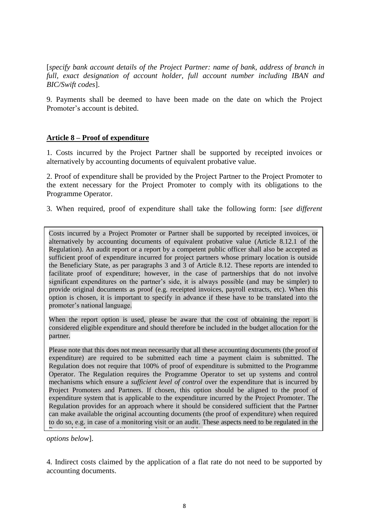[*specify bank account details of the Project Partner: name of bank, address of branch in full, exact designation of account holder, full account number including IBAN and BIC/Swift codes*].

9. Payments shall be deemed to have been made on the date on which the Project Promoter's account is debited.

## **Article 8 – Proof of expenditure**

1. Costs incurred by the Project Partner shall be supported by receipted invoices or alternatively by accounting documents of equivalent probative value.

2. Proof of expenditure shall be provided by the Project Partner to the Project Promoter to the extent necessary for the Project Promoter to comply with its obligations to the Programme Operator.

3. When required, proof of expenditure shall take the following form: [*see different* 

Costs incurred by a Project Promoter or Partner shall be supported by receipted invoices, or alternatively by accounting documents of equivalent probative value (Article 8.12.1 of the Regulation). An audit report or a report by a competent public officer shall also be accepted as sufficient proof of expenditure incurred for project partners whose primary location is outside the Beneficiary State, as per paragraphs 3 and 3 of Article 8.12. These reports are intended to facilitate proof of expenditure; however, in the case of partnerships that do not involve significant expenditures on the partner's side, it is always possible (and may be simpler) to provide original documents as proof (e.g. receipted invoices, payroll extracts, etc). When this option is chosen, it is important to specify in advance if these have to be translated into the promoter's national language.

When the report option is used, please be aware that the cost of obtaining the report is considered eligible expenditure and should therefore be included in the budget allocation for the partner.

Please note that this does not mean necessarily that all these accounting documents (the proof of expenditure) are required to be submitted each time a payment claim is submitted. The Regulation does not require that 100% of proof of expenditure is submitted to the Programme Operator. The Regulation requires the Programme Operator to set up systems and control mechanisms which ensure a *sufficient level of control* over the expenditure that is incurred by Project Promoters and Partners. If chosen, this option should be aligned to the proof of expenditure system that is applicable to the expenditure incurred by the Project Promoter. The Regulation provides for an approach where it should be considered sufficient that the Partner can make available the original accounting documents (the proof of expenditure) when required to do so, e.g. in case of a monitoring visit or an audit. These aspects need to be regulated in the Partnership Agreement with as much detail as possible.

*options below*].

4. Indirect costs claimed by the application of a flat rate do not need to be supported by accounting documents.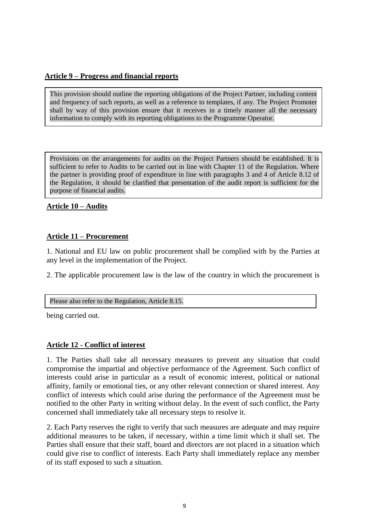## **Article 9 – Progress and financial reports**

This provision should outline the reporting obligations of the Project Partner, including content and frequency of such reports, as well as a reference to templates, if any. The Project Promoter shall by way of this provision ensure that it receives in a timely manner all the necessary information to comply with its reporting obligations to the Programme Operator.

Provisions on the arrangements for audits on the Project Partners should be established. It is sufficient to refer to Audits to be carried out in line with Chapter 11 of the Regulation. Where the partner is providing proof of expenditure in line with paragraphs 3 and 4 of Article 8.12 of the Regulation, it should be clarified that presentation of the audit report is sufficient for the purpose of financial audits.

#### **Article 10 – Audits**

## **Article 11 – Procurement**

1. National and EU law on public procurement shall be complied with by the Parties at any level in the implementation of the Project.

2. The applicable procurement law is the law of the country in which the procurement is

#### Please also refer to the Regulation, Article 8.15.

being carried out.

#### **Article 12 - Conflict of interest**

1. The Parties shall take all necessary measures to prevent any situation that could compromise the impartial and objective performance of the Agreement. Such conflict of interests could arise in particular as a result of economic interest, political or national affinity, family or emotional ties, or any other relevant connection or shared interest. Any conflict of interests which could arise during the performance of the Agreement must be notified to the other Party in writing without delay. In the event of such conflict, the Party concerned shall immediately take all necessary steps to resolve it.

2. Each Party reserves the right to verify that such measures are adequate and may require additional measures to be taken, if necessary, within a time limit which it shall set. The Parties shall ensure that their staff, board and directors are not placed in a situation which could give rise to conflict of interests. Each Party shall immediately replace any member of its staff exposed to such a situation.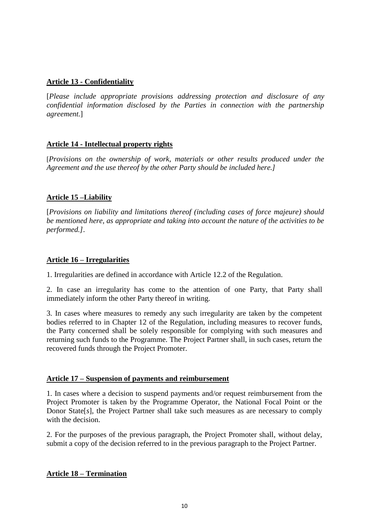## **Article 13 - Confidentiality**

[*Please include appropriate provisions addressing protection and disclosure of any confidential information disclosed by the Parties in connection with the partnership agreement.*]

## **Article 14 - Intellectual property rights**

[*Provisions on the ownership of work, materials or other results produced under the Agreement and the use thereof by the other Party should be included here.]*

#### **Article 15 –Liability**

[*Provisions on liability and limitations thereof (including cases of force majeure) should be mentioned here, as appropriate and taking into account the nature of the activities to be performed.]*.

#### **Article 16 – Irregularities**

1. Irregularities are defined in accordance with Article 12.2 of the Regulation.

2. In case an irregularity has come to the attention of one Party, that Party shall immediately inform the other Party thereof in writing.

3. In cases where measures to remedy any such irregularity are taken by the competent bodies referred to in Chapter 12 of the Regulation, including measures to recover funds, the Party concerned shall be solely responsible for complying with such measures and returning such funds to the Programme. The Project Partner shall, in such cases, return the recovered funds through the Project Promoter.

#### **Article 17 – Suspension of payments and reimbursement**

1. In cases where a decision to suspend payments and/or request reimbursement from the Project Promoter is taken by the Programme Operator, the National Focal Point or the Donor State[*s*], the Project Partner shall take such measures as are necessary to comply with the decision.

2. For the purposes of the previous paragraph, the Project Promoter shall, without delay, submit a copy of the decision referred to in the previous paragraph to the Project Partner.

#### **Article 18 – Termination**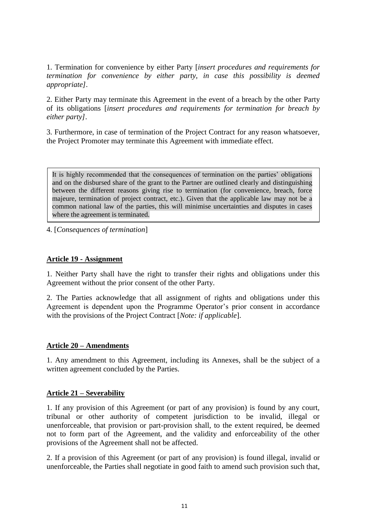1. Termination for convenience by either Party [*insert procedures and requirements for termination for convenience by either party, in case this possibility is deemed appropriate]*.

2. Either Party may terminate this Agreement in the event of a breach by the other Party of its obligations [*insert procedures and requirements for termination for breach by either party]*.

3. Furthermore, in case of termination of the Project Contract for any reason whatsoever, the Project Promoter may terminate this Agreement with immediate effect.

It is highly recommended that the consequences of termination on the parties' obligations and on the disbursed share of the grant to the Partner are outlined clearly and distinguishing between the different reasons giving rise to termination (for convenience, breach, force majeure, termination of project contract, etc.). Given that the applicable law may not be a common national law of the parties, this will minimise uncertainties and disputes in cases where the agreement is terminated.

4. [*Consequences of termination*]

#### **Article 19 - Assignment**

1. Neither Party shall have the right to transfer their rights and obligations under this Agreement without the prior consent of the other Party.

2. The Parties acknowledge that all assignment of rights and obligations under this Agreement is dependent upon the Programme Operator's prior consent in accordance with the provisions of the Project Contract [*Note: if applicable*].

#### **Article 20 – Amendments**

1. Any amendment to this Agreement, including its Annexes, shall be the subject of a written agreement concluded by the Parties.

#### **Article 21 – Severability**

1. If any provision of this Agreement (or part of any provision) is found by any court, tribunal or other authority of competent jurisdiction to be invalid, illegal or unenforceable, that provision or part-provision shall, to the extent required, be deemed not to form part of the Agreement, and the validity and enforceability of the other provisions of the Agreement shall not be affected.

2. If a provision of this Agreement (or part of any provision) is found illegal, invalid or unenforceable, the Parties shall negotiate in good faith to amend such provision such that,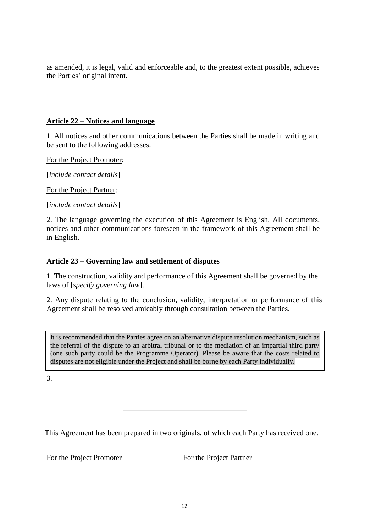as amended, it is legal, valid and enforceable and, to the greatest extent possible, achieves the Parties' original intent.

## **Article 22 – Notices and language**

1. All notices and other communications between the Parties shall be made in writing and be sent to the following addresses:

For the Project Promoter:

[*include contact details*]

For the Project Partner:

[*include contact details*]

2. The language governing the execution of this Agreement is English. All documents, notices and other communications foreseen in the framework of this Agreement shall be in English.

#### **Article 23 – Governing law and settlement of disputes**

1. The construction, validity and performance of this Agreement shall be governed by the laws of [*specify governing law*].

2. Any dispute relating to the conclusion, validity, interpretation or performance of this Agreement shall be resolved amicably through consultation between the Parties.

It is recommended that the Parties agree on an alternative dispute resolution mechanism, such as the referral of the dispute to an arbitral tribunal or to the mediation of an impartial third party (one such party could be the Programme Operator). Please be aware that the costs related to disputes are not eligible under the Project and shall be borne by each Party individually.

3.

This Agreement has been prepared in two originals, of which each Party has received one.

For the Project Promoter For the Project Partner